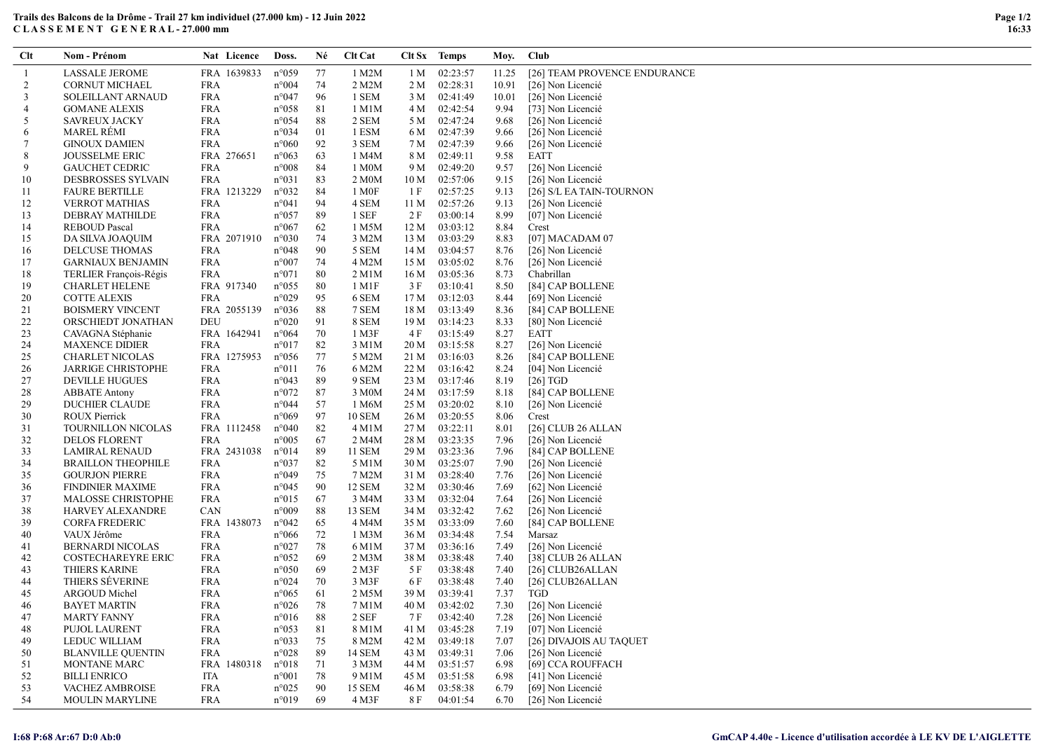## Trails des Balcons de la Drôme - Trail 27 km individuel (27.000 km) - 12 Juin 2022 C L A S S E M E N T G E N E R A L - 27.000 mm

| Clt            | <b>Nom - Prénom</b>           | Nat Licence | Doss.          | Né | <b>Clt Cat</b>     |      | Clt Sx Temps | Moy.  | Club                         |
|----------------|-------------------------------|-------------|----------------|----|--------------------|------|--------------|-------|------------------------------|
|                | <b>LASSALE JEROME</b>         | FRA 1639833 | $n^{\circ}059$ | 77 | 1 M2M              | 1 M  | 02:23:57     | 11.25 | [26] TEAM PROVENCE ENDURANCE |
| 2              | <b>CORNUT MICHAEL</b>         | <b>FRA</b>  | $n^{\circ}004$ | 74 | 2 M2M              | 2 M  | 02:28:31     | 10.91 | [26] Non Licencié            |
| 3              | SOLEILLANT ARNAUD             | <b>FRA</b>  | $n^{\circ}047$ | 96 | 1 SEM              | 3 M  | 02:41:49     | 10.01 | [26] Non Licencié            |
| $\overline{4}$ | <b>GOMANE ALEXIS</b>          | <b>FRA</b>  | $n^{\circ}058$ | 81 | 1 M1M              | 4 M  | 02:42:54     | 9.94  | [73] Non Licencié            |
| 5              | <b>SAVREUX JACKY</b>          | <b>FRA</b>  | $n^{\circ}054$ | 88 | 2 SEM              | 5 M  | 02:47:24     | 9.68  | [26] Non Licencié            |
| 6              | <b>MAREL RÉMI</b>             | <b>FRA</b>  | $n^{\circ}034$ | 01 | 1 ESM              | 6 M  | 02:47:39     | 9.66  | [26] Non Licencié            |
| 7              | <b>GINOUX DAMIEN</b>          | FRA         | $n^{\circ}060$ | 92 | 3 SEM              | 7 M  | 02:47:39     | 9.66  | [26] Non Licencié            |
| 8              | <b>JOUSSELME ERIC</b>         | FRA 276651  | $n^{\circ}063$ | 63 | 1 M4M              | 8 M  | 02:49:11     | 9.58  | <b>EATT</b>                  |
| 9              | <b>GAUCHET CEDRIC</b>         | <b>FRA</b>  | $n^{\circ}008$ | 84 | 1 M0M              | 9 M  | 02:49:20     | 9.57  | [26] Non Licencié            |
| 10             | DESBROSSES SYLVAIN            | FRA         | $n^{\circ}031$ | 83 | 2 M <sub>0</sub> M | 10 M | 02:57:06     | 9.15  | [26] Non Licencié            |
| 11             | <b>FAURE BERTILLE</b>         | FRA 1213229 | $n^{\circ}032$ | 84 | 1 M <sub>OF</sub>  | 1 F  | 02:57:25     | 9.13  | [26] S/L EA TAIN-TOURNON     |
| 12             | <b>VERROT MATHIAS</b>         | <b>FRA</b>  | $n^{\circ}041$ | 94 | 4 SEM              | 11 M | 02:57:26     | 9.13  | [26] Non Licencié            |
| 13             | DEBRAY MATHILDE               | FRA         | $n^{\circ}057$ | 89 | 1 SEF              | 2 F  | 03:00:14     | 8.99  | [07] Non Licencié            |
| 14             | <b>REBOUD Pascal</b>          | <b>FRA</b>  | $n^{\circ}067$ | 62 | 1 M5M              | 12 M | 03:03:12     | 8.84  | Crest                        |
| 15             | DA SILVA JOAQUIM              | FRA 2071910 | $n^{\circ}030$ | 74 | 3 M2M              | 13 M | 03:03:29     | 8.83  | [07] MACADAM 07              |
| 16             | <b>DELCUSE THOMAS</b>         | FRA         | $n^{\circ}048$ | 90 | 5 SEM              | 14 M | 03:04:57     | 8.76  | [26] Non Licencié            |
| 17             | <b>GARNIAUX BENJAMIN</b>      | FRA         | $n^{\circ}007$ | 74 | 4 M2M              | 15 M | 03:05:02     | 8.76  | [26] Non Licencié            |
| 18             | <b>TERLIER François-Régis</b> | FRA         | $n^{\circ}071$ | 80 | 2 M1M              | 16 M | 03:05:36     | 8.73  | Chabrillan                   |
| 19             | <b>CHARLET HELENE</b>         | FRA 917340  | $n^{\circ}055$ | 80 | 1 M1F              | 3 F  | 03:10:41     | 8.50  | [84] CAP BOLLENE             |
| 20             | <b>COTTE ALEXIS</b>           | FRA         | n°029          | 95 | 6 SEM              | 17 M | 03:12:03     | 8.44  | [69] Non Licencié            |
| 21             | <b>BOISMERY VINCENT</b>       | FRA 2055139 | $n^{\circ}036$ | 88 | 7 SEM              | 18 M | 03:13:49     | 8.36  | [84] CAP BOLLENE             |
| 22             | ORSCHIEDT JONATHAN            | DEU         | $n^{\circ}020$ | 91 | 8 SEM              | 19 M | 03:14:23     | 8.33  | [80] Non Licencié            |
| 23             | CAVAGNA Stéphanie             | FRA 1642941 | $n^{\circ}064$ | 70 | 1 M3F              | 4 F  | 03:15:49     | 8.27  | <b>EATT</b>                  |
| 24             | <b>MAXENCE DIDIER</b>         | FRA         | $n^{\circ}017$ | 82 | 3 M1M              | 20 M | 03:15:58     | 8.27  | [26] Non Licencié            |
| 25             | <b>CHARLET NICOLAS</b>        | FRA 1275953 | $n^{\circ}056$ | 77 | 5 M2M              | 21 M | 03:16:03     | 8.26  | [84] CAP BOLLENE             |
| 26             | <b>JARRIGE CHRISTOPHE</b>     | FRA         | $n^{\circ}011$ | 76 | 6 M2M              | 22 M | 03:16:42     | 8.24  | [04] Non Licencié            |
| 27             | <b>DEVILLE HUGUES</b>         | <b>FRA</b>  | $n^{\circ}043$ | 89 | 9 SEM              | 23 M | 03:17:46     | 8.19  | $[26]$ TGD                   |
| 28             | <b>ABBATE Antony</b>          | <b>FRA</b>  | $n^{\circ}072$ | 87 | 3 M <sub>0</sub> M | 24 M | 03:17:59     | 8.18  | [84] CAP BOLLENE             |
| 29             | <b>DUCHIER CLAUDE</b>         | <b>FRA</b>  | $n^{\circ}044$ | 57 | 1 M6M              | 25 M | 03:20:02     | 8.10  | [26] Non Licencié            |
| 30             | <b>ROUX Pierrick</b>          | <b>FRA</b>  | $n^{\circ}069$ | 97 | <b>10 SEM</b>      | 26 M | 03:20:55     | 8.06  | Crest                        |
| 31             | TOURNILLON NICOLAS            | FRA 1112458 | $n^{\circ}040$ | 82 | $4$ M $1$ M        | 27 M | 03:22:11     | 8.01  | $[26]$ CLUB 26 ALLAN         |
| 32             | <b>DELOS FLORENT</b>          | FRA         | $n^{\circ}005$ | 67 | 2 M4M              | 28 M | 03:23:35     | 7.96  | [26] Non Licencié            |
| 33             | LAMIRAL RENAUD                | FRA 2431038 | $n^{\circ}014$ | 89 | 11 SEM             | 29 M | 03:23:36     | 7.96  | [84] CAP BOLLENE             |
| 34             | <b>BRAILLON THEOPHILE</b>     | <b>FRA</b>  | $n^{\circ}037$ | 82 | 5 M1M              | 30 M | 03:25:07     | 7.90  | [26] Non Licencié            |
| 35             | <b>GOURJON PIERRE</b>         | <b>FRA</b>  | $n^{\circ}049$ | 75 | 7 M2M              | 31 M | 03:28:40     | 7.76  | [26] Non Licencié            |
| 36             | <b>FINDINIER MAXIME</b>       | <b>FRA</b>  | $n^{\circ}045$ | 90 | 12 SEM             | 32 M | 03:30:46     | 7.69  | [62] Non Licencié            |
| 37             | <b>MALOSSE CHRISTOPHE</b>     | FRA         | $n^{\circ}015$ | 67 | 3 M4M              | 33 M | 03:32:04     | 7.64  | [26] Non Licencié            |
| 38             | <b>HARVEY ALEXANDRE</b>       | CAN         | n°009          | 88 | 13 SEM             | 34 M | 03:32:42     | 7.62  | [26] Non Licencié            |
| 39             | <b>CORFA FREDERIC</b>         | FRA 1438073 | $n^{\circ}042$ | 65 | 4 M4M              | 35 M | 03:33:09     | 7.60  | [84] CAP BOLLENE             |
| 40             | VAUX Jérôme                   | <b>FRA</b>  | $n^{\circ}066$ | 72 | 1 M3M              | 36 M | 03:34:48     | 7.54  | Marsaz                       |
| 41             | <b>BERNARDI NICOLAS</b>       | <b>FRA</b>  | $n^{\circ}027$ | 78 | 6 M1M              | 37 M | 03:36:16     | 7.49  | [26] Non Licencié            |
| 42             | <b>COSTECHAREYRE ERIC</b>     | <b>FRA</b>  | $n^{\circ}052$ | 69 | 2 M <sub>3</sub> M | 38 M | 03:38:48     | 7.40  | [38] CLUB 26 ALLAN           |
| 43             | <b>THIERS KARINE</b>          | FRA         | $n^{\circ}050$ | 69 | $2$ M3F            | 5 F  | 03:38:48     | 7.40  | [26] CLUB26ALLAN             |
| 44             | THIERS SÉVERINE               | FRA         | $n^{\circ}024$ | 70 | 3 M3F              | 6 F  | 03:38:48     | 7.40  | [26] CLUB26ALLAN             |
| 45             | ARGOUD Michel                 | <b>FRA</b>  | $n^{\circ}065$ | 61 | 2 M5M              | 39 M | 03:39:41     | 7.37  | <b>TGD</b>                   |
| 46             | <b>BAYET MARTIN</b>           | FRA         | $n^{\circ}026$ | 78 | 7 M1M              | 40 M | 03:42:02     | 7.30  | [26] Non Licencié            |
| 47             | <b>MARTY FANNY</b>            | <b>FRA</b>  | $n^{\circ}016$ | 88 | 2 SEF              | 7 F  | 03:42:40     | 7.28  | [26] Non Licencié            |
| 48             | PUJOL LAURENT                 | <b>FRA</b>  | $n^{\circ}053$ | 81 | 8 M1M              | 41 M | 03:45:28     | 7.19  | [07] Non Licencié            |
| 49             | LEDUC WILLIAM                 | <b>FRA</b>  | $n^{\circ}033$ | 75 | 8 M2M              | 42 M | 03:49:18     | 7.07  | [26] DIVAJOIS AU TAQUET      |
| 50             | <b>BLANVILLE QUENTIN</b>      | FRA         | $n^{\circ}028$ | 89 | 14 SEM             | 43 M | 03:49:31     | 7.06  | [26] Non Licencié            |
| 51             | MONTANE MARC                  | FRA 1480318 | $n^{\circ}018$ | 71 | 3 M3M              | 44 M | 03:51:57     | 6.98  | [69] CCA ROUFFACH            |
| 52             | <b>BILLI ENRICO</b>           | ITA         | $n^{\circ}001$ | 78 | 9 M1M              | 45 M | 03:51:58     | 6.98  | [41] Non Licencié            |
| 53             | VACHEZ AMBROISE               | <b>FRA</b>  | $n^{\circ}025$ | 90 | 15 SEM             | 46 M | 03:58:38     | 6.79  | [69] Non Licencié            |
| 54             | <b>MOULIN MARYLINE</b>        | FRA         | $n^{\circ}019$ | 69 | 4 M3F              | 8 F  | 04:01:54     | 6.70  | [26] Non Licencié            |